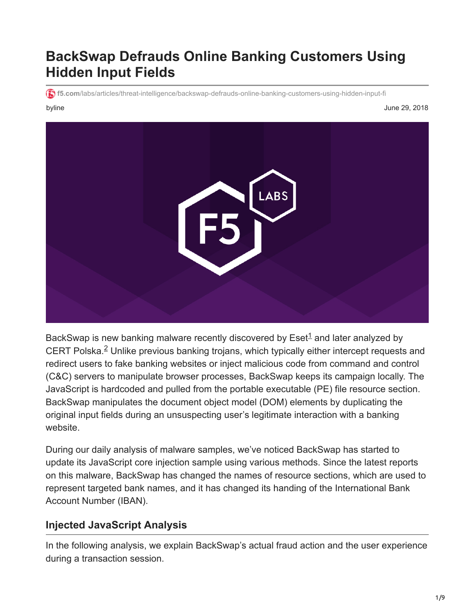# **BackSwap Defrauds Online Banking Customers Using Hidden Input Fields**

**f5.com**[/labs/articles/threat-intelligence/backswap-defrauds-online-banking-customers-using-hidden-input-fi](https://www.f5.com/labs/articles/threat-intelligence/backswap-defrauds-online-banking-customers-using-hidden-input-fi)

byline June 29, 2018



BackSwap is new banking malware recently discovered by  $\mathsf{Eset}^1$  and later analyzed by CERT Polska. $2$  Unlike previous banking trojans, which typically either intercept requests and redirect users to fake banking websites or inject malicious code from command and control (C&C) servers to manipulate browser processes, BackSwap keeps its campaign locally. The JavaScript is hardcoded and pulled from the portable executable (PE) file resource section. BackSwap manipulates the document object model (DOM) elements by duplicating the original input fields during an unsuspecting user's legitimate interaction with a banking website.

During our daily analysis of malware samples, we've noticed BackSwap has started to update its JavaScript core injection sample using various methods. Since the latest reports on this malware, BackSwap has changed the names of resource sections, which are used to represent targeted bank names, and it has changed its handing of the International Bank Account Number (IBAN).

# **Injected JavaScript Analysis**

In the following analysis, we explain BackSwap's actual fraud action and the user experience during a transaction session.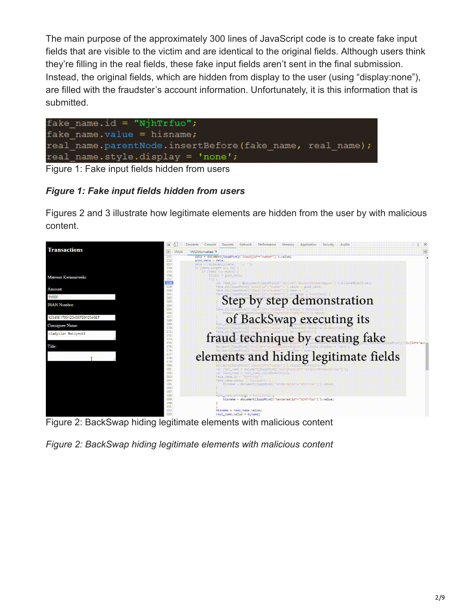The main purpose of the approximately 300 lines of JavaScript code is to create fake input fields that are visible to the victim and are identical to the original fields. Although users think they're filling in the real fields, these fake input fields aren't sent in the final submission. Instead, the original fields, which are hidden from display to the user (using "display:none"), are filled with the fraudster's account information. Unfortunately, it is this information that is submitted.



Figure 1: Fake input fields hidden from users

# *Figure 1: Fake input fields hidden from users*

Figures 2 and 3 illustrate how legitimate elements are hidden from the user by with malicious content.



Figure 2: BackSwap hiding legitimate elements with malicious content

*Figure 2: BackSwap hiding legitimate elements with malicious content*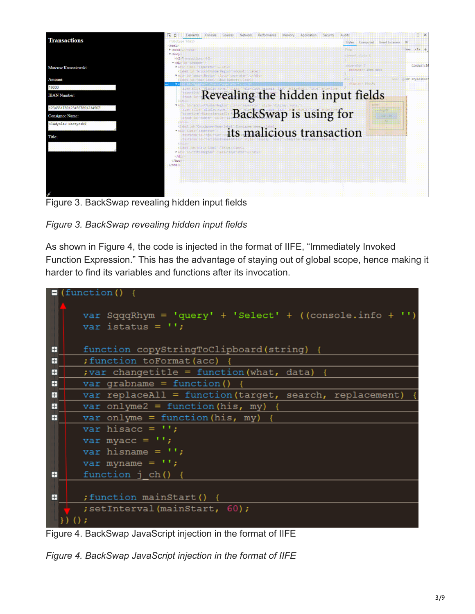

Figure 3. BackSwap revealing hidden input fields

*Figure 3. BackSwap revealing hidden input fields*

As shown in Figure 4, the code is injected in the format of IIFE, "Immediately Invoked Function Expression." This has the advantage of staying out of global scope, hence making it harder to find its variables and functions after its invocation.

|                | $\blacksquare$ (function () {                               |
|----------------|-------------------------------------------------------------|
|                |                                                             |
|                | var SqqqRhym = $'$ query' + 'Select' + ((console.info + '') |
|                | var istatus = $\cdot\cdot\cdot$ ;                           |
|                |                                                             |
| $\mathbf{H}$   | function copyStringToClipboard(string) {                    |
| $\overline{+}$ | ; function toFormat (acc)                                   |
| $\mathsf{H}$   | ; var changetitle = function (what, data) {                 |
| $\mathsf{H}$   | var grabname = function()                                   |
| H              | var replaceAll = function(target, search, replacement)      |
| $\mathsf{H}$   | var onlyme2 = function (his, my) {                          |
| H              | var onlyme = function (his, my) {                           |
|                | var hisacc = $\prime\prime$ ;                               |
|                | var myacc = $'$ ;                                           |
|                | var hisname = $'$ ;                                         |
|                | var myname = $'$ ;                                          |
| Ŧ              | function j ch() {                                           |
|                |                                                             |
| H              | ; function mainStart() {                                    |
|                | ; setInterval (mainStart, 60);                              |
| $)()$ ;        |                                                             |
|                |                                                             |

Figure 4. BackSwap JavaScript injection in the format of IIFE

*Figure 4. BackSwap JavaScript injection in the format of IIFE*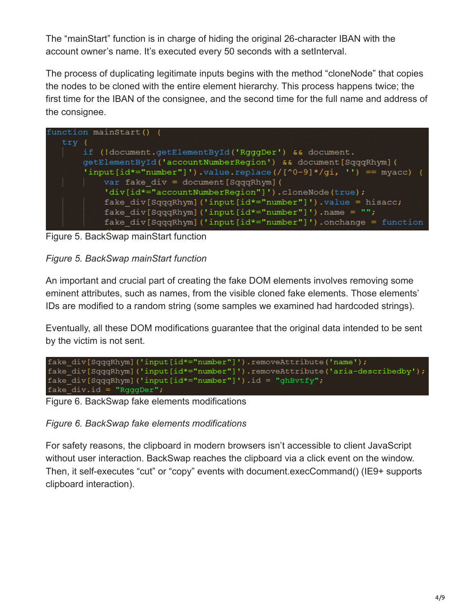The "mainStart" function is in charge of hiding the original 26-character IBAN with the account owner's name. It's executed every 50 seconds with a setInterval.

The process of duplicating legitimate inputs begins with the method "cloneNode" that copies the nodes to be cloned with the entire element hierarchy. This process happens twice; the first time for the IBAN of the consignee, and the second time for the full name and address of the consignee.

|         | function mainStart $()$ {                                         |
|---------|-------------------------------------------------------------------|
| $try$ { |                                                                   |
|         | if (!document.getElementById('RqqqDer') && document.              |
|         | getElementById('accountNumberRegion') && document[SqqqRhym] (     |
|         | 'input[id*="number"]').value.replace(/[^0-9]*/qi, '') == myacc) { |
|         | var fake div = document [ $SqqqRhym$ ] (                          |
|         | 'div[id*="accountNumberRegion"]').cloneNode(true);                |
|         | fake div[SqqqRhym] ('input[id*="number"]').value = hisacc;        |
|         | fake $div[SqqqRhym]$ ('input[id*="number"]').name = "";           |
|         | fake div[SqqqRhym] ('input[id*="number"]').onchange = function    |

Figure 5. BackSwap mainStart function

### *Figure 5. BackSwap mainStart function*

An important and crucial part of creating the fake DOM elements involves removing some eminent attributes, such as names, from the visible cloned fake elements. Those elements' IDs are modified to a random string (some samples we examined had hardcoded strings).

Eventually, all these DOM modifications guarantee that the original data intended to be sent by the victim is not sent.



Figure 6. BackSwap fake elements modifications

*Figure 6. BackSwap fake elements modifications*

For safety reasons, the clipboard in modern browsers isn't accessible to client JavaScript without user interaction. BackSwap reaches the clipboard via a click event on the window. Then, it self-executes "cut" or "copy" events with document.execCommand() (IE9+ supports clipboard interaction).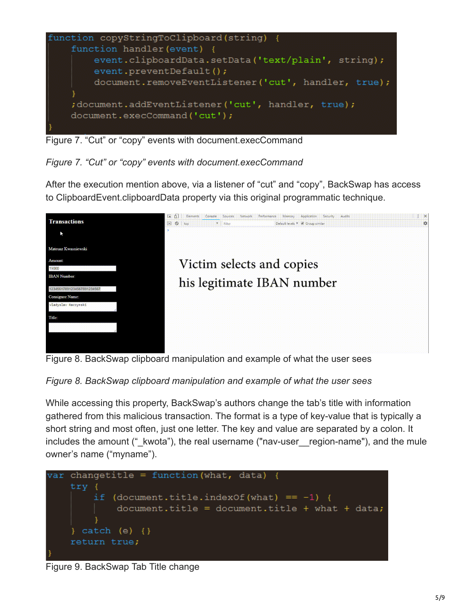

Figure 7. "Cut" or "copy" events with document.execCommand

*Figure 7. "Cut" or "copy" events with document.execCommand*

After the execution mention above, via a listener of "cut" and "copy", BackSwap has access to ClipboardEvent.clipboardData property via this original programmatic technique.





#### *Figure 8. BackSwap clipboard manipulation and example of what the user sees*

While accessing this property, BackSwap's authors change the tab's title with information gathered from this malicious transaction. The format is a type of key-value that is typically a short string and most often, just one letter. The key and value are separated by a colon. It includes the amount (" kwota"), the real username ("nav-user region-name"), and the mule owner's name ("myname").



Figure 9. BackSwap Tab Title change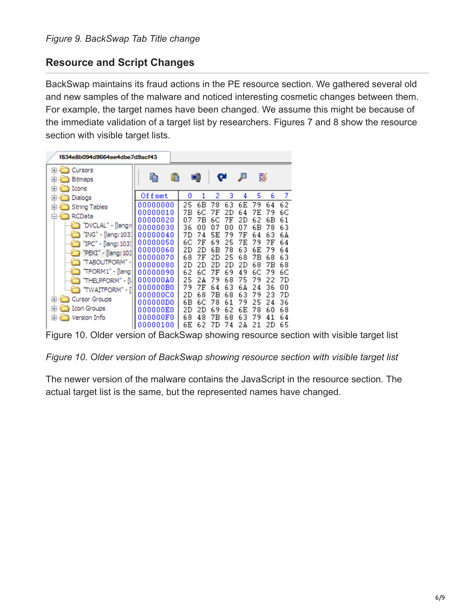# **Resource and Script Changes**

BackSwap maintains its fraud actions in the PE resource section. We gathered several old and new samples of the malware and noticed interesting cosmetic changes between them. For example, the target names have been changed. We assume this might be because of the immediate validation of a target list by researchers. Figures 7 and 8 show the resource section with visible target lists.

| f834e8b094d9664ee4dbe7d9acf43                                                                                                                                                                                                                                                             |                                                                                                                                                                                 |                                                                                                                                                                                  |                                                                                                                                                                                  |                                                                                         |                                                                                                                                                                                   |                                                                                         |  |  |  |  |
|-------------------------------------------------------------------------------------------------------------------------------------------------------------------------------------------------------------------------------------------------------------------------------------------|---------------------------------------------------------------------------------------------------------------------------------------------------------------------------------|----------------------------------------------------------------------------------------------------------------------------------------------------------------------------------|----------------------------------------------------------------------------------------------------------------------------------------------------------------------------------|-----------------------------------------------------------------------------------------|-----------------------------------------------------------------------------------------------------------------------------------------------------------------------------------|-----------------------------------------------------------------------------------------|--|--|--|--|
| Cursors<br>[⊕]…<br><b>Bitmaps</b><br>国司<br>Icons<br>[⊕]…                                                                                                                                                                                                                                  |                                                                                                                                                                                 | ٩Ì                                                                                                                                                                               | œ                                                                                                                                                                                |                                                                                         | s                                                                                                                                                                                 |                                                                                         |  |  |  |  |
| Dialogs<br>Ŧ                                                                                                                                                                                                                                                                              | Offset                                                                                                                                                                          | 0<br>1                                                                                                                                                                           | 3<br>2                                                                                                                                                                           | 4                                                                                       | 5<br>6                                                                                                                                                                            | 7                                                                                       |  |  |  |  |
| String Tables<br>$\overline{+}$<br>RCData<br>⊟…<br>"DVCLAL" - [lang: <br>"ING" - [lang: 103.]<br>"IPC" - [lang: 103:]<br>"PEKI" - [lang: 103<br>"TABOUTFORM" -I<br>"TFORM1" - [lang:<br>"THELPFORM" - [li<br>"TWAITFORM" - [ <br><b>Cursor Groups</b><br>田山<br><b>Icon Groups</b><br>[⊕]⊶ | 00000000<br>00000010<br>00000020<br>00000030<br>00000040<br>00000050<br>00000060<br>00000070<br>00000080<br>00000090<br>00000040<br>000000B0<br>ooooooco<br>nnnnnnn<br>NNNNNNEN | 25<br>6В<br>7Β<br>6С<br>07<br>7Β<br>36<br>00<br>7D<br>74<br>6С<br>7F<br>2D<br>2D<br>68<br>7F<br>2D<br>2D<br>62<br>6С<br>25<br>24<br>79<br>7Ε<br>68<br>2D<br>6B<br>6С<br>2D<br>2D | 63<br>78<br>7Ε<br>2D<br>7Ε<br>6С<br>00<br>n7<br>79<br>5Ε<br>69<br>25<br>78<br>6В<br>25<br>2D<br>2D<br>2D<br>69<br>7F<br>68<br>79<br>63<br>64<br>7В<br>68<br>61<br>78<br>69<br>62 | 6Е<br>64<br>2D<br>07<br>7F<br>7Ε<br>63<br>68<br>2D<br>49<br>75<br>6 A<br>63<br>79<br>6E | 79<br>64<br>79<br>7F.<br>62<br>6В<br>6В<br>78<br>63<br>64<br>7Ε<br>79<br>6Е<br>79<br>68<br>7Β<br>68<br>7Β<br>6C<br>79<br>22<br>79<br>36<br>24<br>79<br>23<br>25<br>24<br>60<br>78 | 62<br>6С<br>61<br>63<br>6 A<br>64<br>64<br>63<br>68<br>6С<br>7D<br>00<br>7D<br>36<br>68 |  |  |  |  |
| Version Info<br>[∓]…                                                                                                                                                                                                                                                                      | OOOOOOFO<br>00000100                                                                                                                                                            | 68<br>48<br>6Ε<br>62                                                                                                                                                             | 7Β<br>68<br>7D<br>7<br>4                                                                                                                                                         | 63<br>2А                                                                                | 79<br>41<br>21<br>2D                                                                                                                                                              | 64<br>65                                                                                |  |  |  |  |

Figure 10. Older version of BackSwap showing resource section with visible target list

*Figure 10. Older version of BackSwap showing resource section with visible target list*

The newer version of the malware contains the JavaScript in the resource section. The actual target list is the same, but the represented names have changed.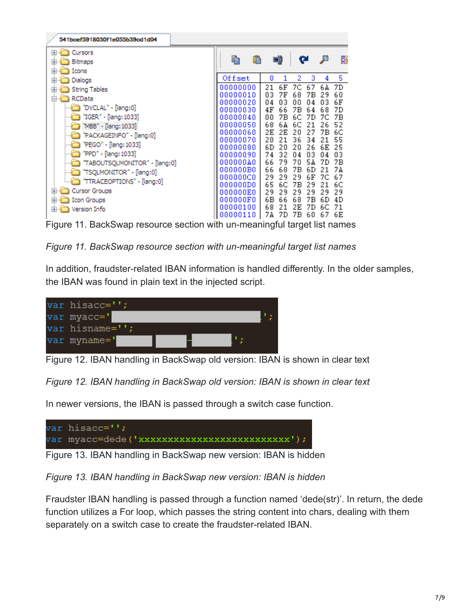| 541bcef5918030f1e055b39cd1d04                                                                                                                                                                                                                                                                                                                                                       |                                                                                                                                                                                                          |                                                                                                                                                                                                          |                                                                                                                                                                                                          |                                                                                                    |                                                                                                    |
|-------------------------------------------------------------------------------------------------------------------------------------------------------------------------------------------------------------------------------------------------------------------------------------------------------------------------------------------------------------------------------------|----------------------------------------------------------------------------------------------------------------------------------------------------------------------------------------------------------|----------------------------------------------------------------------------------------------------------------------------------------------------------------------------------------------------------|----------------------------------------------------------------------------------------------------------------------------------------------------------------------------------------------------------|----------------------------------------------------------------------------------------------------|----------------------------------------------------------------------------------------------------|
| Cursors<br>⊞…<br>Bitmaps<br>Ŧ<br>$\overline{+}$<br>Icons<br>Dialogs<br>$\overline{+}$                                                                                                                                                                                                                                                                                               | ħ<br>Offset<br>00000000                                                                                                                                                                                  | ۵D<br>o<br>1<br>21<br>6F                                                                                                                                                                                 | œ<br>2<br>3<br>7С<br>67                                                                                                                                                                                  | ₽<br>4<br>6 A                                                                                      | 醝<br>5<br>7D                                                                                       |
| String Tables<br>$\overline{+}$<br><b>RCData</b><br>⊟…<br>"DVCLAL" - [lang:0]<br>"IGER" - [lang: 1033]<br>"MBB" - [lang: 1033]<br>"PACKAGEINFO" - [lang:0]<br>"PEGO" - [lang: 1033]<br>"PPD" - [lang: 1033]<br>"TABOUTSQLMONITOR" - [lang:0]<br>"TSQLMONITOR" - [lang:0]<br>"TTRACEOPTIONS" - [lang:0]<br><b>Cursor Groups</b><br>围<br><b>Icon Groups</b><br>围<br>Version Info<br>围 | 00000010<br>00000020<br>00000030<br>00000040<br>00000050<br>00000060<br>00000070<br>00000080<br>00000090<br>000000A0<br>000000B0<br>000000C0<br>000000D0<br>000000E0<br>000000F0<br>00000100<br>00000110 | 7F<br>03<br>04<br>03<br>4F<br>66<br>00<br>7В<br>68<br>64<br>2E<br>2Ε<br>20<br>21<br>6D<br>20<br>74<br>32<br>66<br>79<br>66<br>68<br>29<br>29<br>65<br>6С<br>29<br>29<br>6В<br>66<br>68<br>21<br>7А<br>7D | 68<br>7В<br>00<br>04<br>7Β<br>64<br>6С<br>7D<br>6С<br>21<br>20<br>27<br>36<br>34<br>20<br>26<br>03<br>04<br>70<br>54<br>7Β<br>6D<br>29<br>6F<br>7Β<br>29<br>29<br>29<br>68<br>7Β<br>2Ε<br>7D<br>7В<br>60 | 29<br>03<br>68<br>7C<br>26<br>7B<br>21<br>6E<br>04<br>7D<br>21<br>7C<br>21<br>29<br>6D<br>6C<br>67 | 60<br>6F<br>7D<br>7Β<br>52<br>6C<br>55<br>25<br>03<br>7Β<br>74<br>67<br>6C<br>29<br>4D<br>71<br>6Ε |

Figure 11. BackSwap resource section with un-meaningful target list names

#### *Figure 11. BackSwap resource section with un-meaningful target list names*

In addition, fraudster-related IBAN information is handled differently. In the older samples, the IBAN was found in plain text in the injected script.



Figure 12. IBAN handling in BackSwap old version: IBAN is shown in clear text

*Figure 12. IBAN handling in BackSwap old version: IBAN is shown in clear text*

In newer versions, the IBAN is passed through a switch case function.



Figure 13. IBAN handling in BackSwap new version: IBAN is hidden

*Figure 13. IBAN handling in BackSwap new version: IBAN is hidden*

Fraudster IBAN handling is passed through a function named 'dede(str)'. In return, the dede function utilizes a For loop, which passes the string content into chars, dealing with them separately on a switch case to create the fraudster-related IBAN.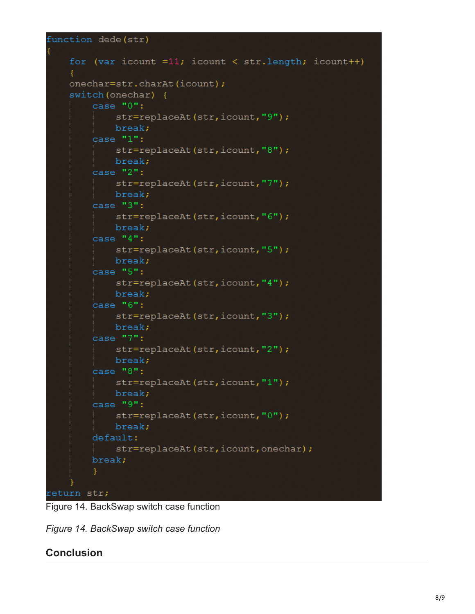```
function dede(str)
```

```
for (var icount =11; icount < str.length; icount++)
    €
    onechar=str.charAt(icount);
    switch (onechar) {
        case "0":
            str=replaceAt(str, icount, "9");
            break;
        case "1":
            str=replaceAt(str, icount, "8");
            break;
        case "2":
            str=replaceAt(str, icount, "7");
            break;
        case "3":
            str=replaceAt(str, icount, "6");
            break;
        case "4":
            str=replaceAt(str, icount, "5");
            break;
        case "5":
            str=replaceAt(str, icount, "4");
            break;
        case "6":
            str=replaceAt(str, icount, "3");
            break;
        case "7":
            str=replaceAt(str, icount, "2");
            break;
        case "8":
            str=replaceAt(str, icount, "1");
            break;
        case "9":
            str=replaceAt(str, icount, "0");
            break;
        default:
            str=replaceAt(str, icount, onechar);
        break;
return str;
```
Figure 14. BackSwap switch case function

*Figure 14. BackSwap switch case function*

# **Conclusion**